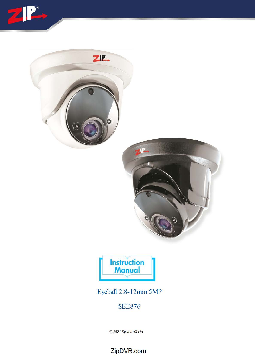





Eyeball 2.8-12mm 5MP

**SEE876** 

© 2021 System Q Ltd

ZipDVR.com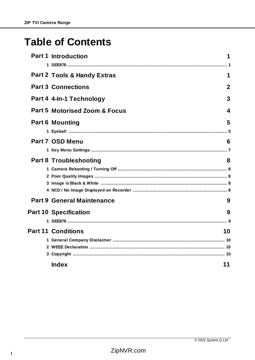# **Table of Contents**

| <b>Part 1 Introduction</b>               | 1           |
|------------------------------------------|-------------|
|                                          |             |
| <b>Part 2 Tools &amp; Handy Extras</b>   | 1           |
| <b>Part 3 Connections</b>                | $\mathbf 2$ |
| Part 4 4-In-1 Technology                 | 3           |
| <b>Part 5 Motorised Zoom &amp; Focus</b> | 4           |
| <b>Part 6 Mounting</b>                   | 5           |
|                                          |             |
| Part 7 OSD Menu                          | 6           |
|                                          |             |
| <b>Part 8 Troubleshooting</b>            | 8           |
|                                          |             |
|                                          |             |
|                                          |             |
|                                          |             |
| <b>Part 9 General Maintenance</b>        | 9           |
| <b>Part 10 Specification</b>             | 9           |
|                                          |             |
| <b>Part 11 Conditions</b><br>10          |             |
|                                          |             |
|                                          |             |
|                                          |             |
| 11<br><b>Index</b>                       |             |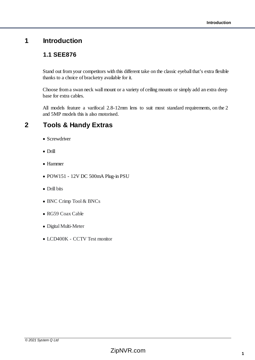# <span id="page-2-1"></span><span id="page-2-0"></span>**1 Introduction**

## **1.1 SEE876**

Stand out from your competitors with this different take on the classic eyeball that's extra flexible thanks to a choice of bracketry available for it.

Choose from a swan neck wall mount or a variety of ceiling mounts or simply add an extra deep base for extra cables.

All models feature a varifocal 2.8-12mm lens to suit most standard requirements, on the 2 and 5MP models this is also motorised.

# <span id="page-2-2"></span>**2 Tools & Handy Extras**

- · Screwdriver
- · Drill
- · Hammer
- · POW151 12V DC 500mA Plug-in PSU
- · Drill bits
- · BNC Crimp Tool & BNCs
- · RG59 Coax Cable
- · Digital Multi-Meter
- · LCD400K CCTV Test monitor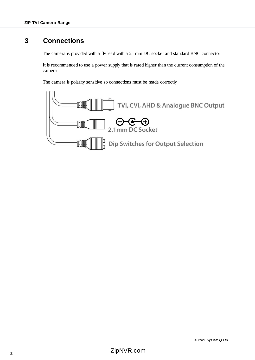# <span id="page-3-0"></span>**3 Connections**

The camera is provided with a fly lead with a 2.1mm DC socket and standard BNC connector

It is recommended to use a power supply that is rated higher than the current consumption of the camera

The camera is polarity sensitive so connections must be made correctly

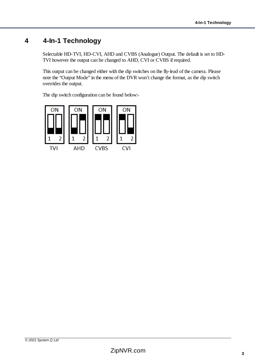# <span id="page-4-0"></span>**4 4-In-1 Technology**

Selectable HD-TVI, HD-CVI, AHD and CVBS (Analogue) Output. The default is set to HD-TVI however the output can be changed to AHD, CVI or CVBS if required.

This output can be changed either with the dip switches on the fly-lead of the camera. Please note the "Output Mode" in the menu of the DVR won't change the format, as the dip switch overrides the output.

The dip switch configuration can be found below:-

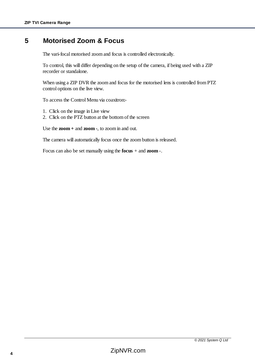## <span id="page-5-0"></span>**5 Motorised Zoom & Focus**

The vari-focal motorised zoom and focus is controlled electronically.

To control, this will differ depending on the setup of the camera, if being used with a ZIP recorder or standalone.

When using a ZIP DVR the zoom and focus for the motorised lens is controlled from PTZ control options on the live view.

To access the Control Menu via coaxitron:-

- 1. Click on the image in Live view
- 2. Click on the PTZ button at the bottom of the screen

Use the **zoom +** and **zoom -**, to zoom in and out.

The camera will automatically focus once the zoom button is released.

Focus can also be set manually using the **focus** + and **zoom** -.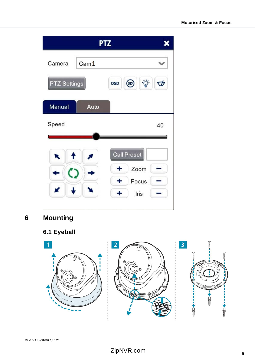| <b>PTZ</b>                 |                                                                            |
|----------------------------|----------------------------------------------------------------------------|
| Cam <sub>1</sub><br>Camera |                                                                            |
| <b>PTZ Settings</b>        | $\ddot{\nabla}$<br>$\circledcirc$<br>$\vec{\bm{\mathrm{v}}}$<br><b>OSD</b> |
| Auto<br>Manual             |                                                                            |
| Speed                      | 40                                                                         |
|                            | <b>Call Preset</b><br>Zoom<br>٠<br>Focus<br>÷<br>Iris                      |

<span id="page-6-0"></span>**6 Mounting**

<span id="page-6-1"></span>

# ZipNVR.com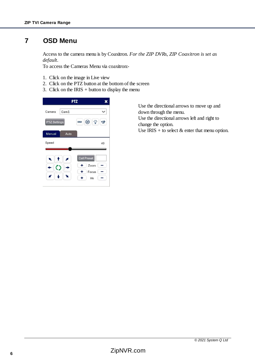# <span id="page-7-0"></span>**7 OSD Menu**

Access to the camera menu is by Coaxitron. *For the ZIP DVRs, ZIP Coaxitron is set as default.*

To access the Cameras Menu via coaxitron:-

- 1. Click on the image in Live view
- 2. Click on the PTZ button at the bottom of the screen
- 3. Click on the IRIS  $+$  button to display the menu

|                            | <b>PTZ</b>                                                |
|----------------------------|-----------------------------------------------------------|
| Camera<br>Cam <sub>1</sub> |                                                           |
| PTZ Settings               | $\ddot{\nabla}$<br>$\circledcirc$<br>$\phi$<br><b>OSD</b> |
| Manual<br>Auto             |                                                           |
| Speed                      | 40                                                        |
|                            | <b>Call Preset</b>                                        |
|                            | Zoom                                                      |
|                            |                                                           |

Use the directional arrows to move up and down through the menu. Use the directional arrows left and right to change the option. Use IRIS + to select  $&$  enter that menu option.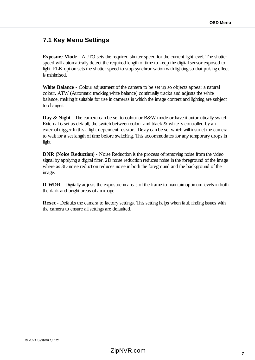## <span id="page-8-0"></span>**7.1 Key Menu Settings**

**Exposure Mode** - AUTO sets the required shutter speed for the current light level. The shutter speed will automatically detect the required length of time to keep the digital sensor exposed to light. FLK option sets the shutter speed to stop synchronisation with lighting so that pulsing effect is minimised.

**White Balance** - Colour adjustment of the camera to be set up so objects appear a natural colour. ATW (Automatic tracking white balance) continually tracks and adjusts the white balance, making it suitable for use in cameras in which the image content and lighting are subject to changes.

**Day & Night** - The camera can be set to colour or B&W mode or have it automatically switch External is set as default, the switch between colour and black & white is controlled by an external trigger In this a light dependent resistor. Delay can be set which will instruct the camera to wait for a set length of time before switching. This accommodates for any temporary drops in light

**DNR** (Noice Reduction) - Noise Reduction is the process of removing noise from the video signal by applying a digital filter. 2D noise reduction reduces noise in the foreground of the image where as 3D noise reduction reduces noise in both the foreground and the background of the image.

**D-WDR** - Digitally adjusts the exposure in areas of the frame to maintain optimum levels in both the dark and bright areas of an image.

**Reset** - Defaults the camera to factory settings. This setting helps when fault finding issues with the camera to ensure all settings are defaulted.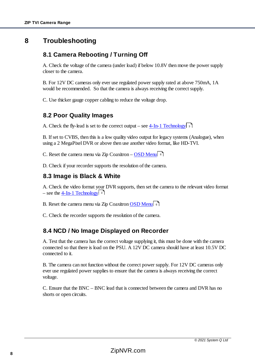# <span id="page-9-1"></span><span id="page-9-0"></span>**8 Troubleshooting**

## **8.1 Camera Rebooting / Turning Off**

A. Check the voltage of the camera (under load) if below 10.8V then move the power supply closer to the camera.

B. For 12V DC cameras only ever use regulated power supply rated at above 750mA, 1A would be recommended. So that the camera is always receiving the correct supply.

C. Use thicker gauge copper cabling to reduce the voltage drop.

#### <span id="page-9-2"></span>**8.2 Poor Quality Images**

A. Check the fly-lead is set to the correct output – see  $4$ -In-1 Technology 3

B. If set to CVBS, then this is a low quality video output for legacy systems (Analogue), when using a 2 MegaPixel DVR or above then use another video format, like HD-TVI.

C. Reset the camera menu via Zip Coaxitron – [OSD Menu](#page-7-0)l 6

D. Check if your recorder supports the resolution of the camera.

#### <span id="page-9-3"></span>**8.3 Image is Black & White**

A. Check the video format your DVR supports, then set the camera to the relevant video format – see the <u>4-In-1 Technology</u>l <sup>3</sup>

B. Reset the camera menu via Zip Coaxitron [OSD Menu](#page-7-0) 6

C. Check the recorder supports the resolution of the camera.

#### <span id="page-9-4"></span>**8.4 NCD / No Image Displayed on Recorder**

A. Test that the camera has the correct voltage supplying it, this must be done with the camera connected so that there is load on the PSU. A 12V DC camera should have at least 10.5V DC connected to it.

B. The camera can not function without the correct power supply. For 12V DC cameras only ever use regulated power supplies to ensure that the camera is always receiving the correct voltage.

C. Ensure that the BNC – BNC lead that is connected between the camera and DVR has no shorts or open circuits.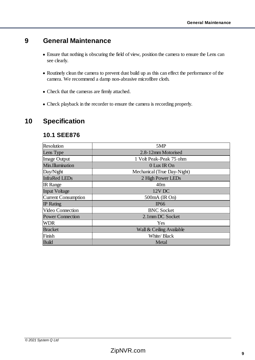# <span id="page-10-0"></span>**9 General Maintenance**

- · Ensure that nothing is obscuring the field of view, position the camera to ensure the Lens can see clearly.
- · Routinely clean the camera to prevent dust build up as this can effect the performance of the camera. We recommend a damp non-abrasive microfibre cloth.
- · Check that the cameras are firmly attached.
- · Check playback in the recorder to ensure the camera is recording properly.

# <span id="page-10-2"></span><span id="page-10-1"></span>**10 Specification**

#### **10.1 SEE876**

| <b>Resolution</b>          | 5MP                         |
|----------------------------|-----------------------------|
| Lens Type                  | 2.8-12mm Motorised          |
| Image Output               | 1 Volt Peak-Peak 75 ohm     |
| Min.Illumination           | 0 Lux IR On                 |
| Day/Night                  | Mechanical (True Day-Night) |
| <b>InfraRed LEDs</b>       | 2 High Power LEDs           |
| <b>IR</b> Range            | 40m                         |
| <b>Input Voltage</b>       | 12V DC                      |
| <b>Current Consumption</b> | 500mA (IR On)               |
| <b>IP</b> Rating           | <b>IP66</b>                 |
| <b>Video Connection</b>    | <b>BNC</b> Socket           |
| <b>Power Connection</b>    | 2.1mm DC Socket             |
| <b>WDR</b>                 | Yes                         |
| <b>Bracket</b>             | Wall & Ceiling Available    |
| Finish                     | White/ Black                |
| <b>Build</b>               | Metal                       |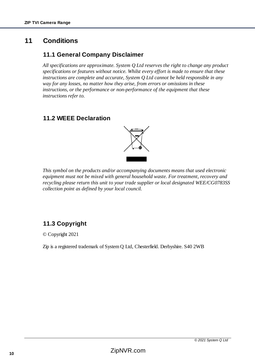# <span id="page-11-1"></span><span id="page-11-0"></span>**11 Conditions**

## **11.1 General Company Disclaimer**

*All specifications are approximate. System Q Ltd reserves the right to change any product specifications or features without notice. Whilst every effort is made to ensure that these instructions are complete and accurate, System Q Ltd cannot be held responsible in any way for any losses, no matter how they arise, from errors or omissions in these instructions, or the performance or non-performance of the equipment that these instructions refer to.*

## <span id="page-11-2"></span>**11.2 WEEE Declaration**



*This symbol on the products and/or accompanying documents means that used electronic equipment must not be mixed with general household waste. For treatment, recovery and recycling please return this unit to your trade supplier or local designated WEE/CG0783SS collection point as defined by your local council.* 

# <span id="page-11-3"></span>**11.3 Copyright**

© Copyright 2021

Zip is a registered trademark of System Q Ltd, Chesterfield. Derbyshire. S40 2WB